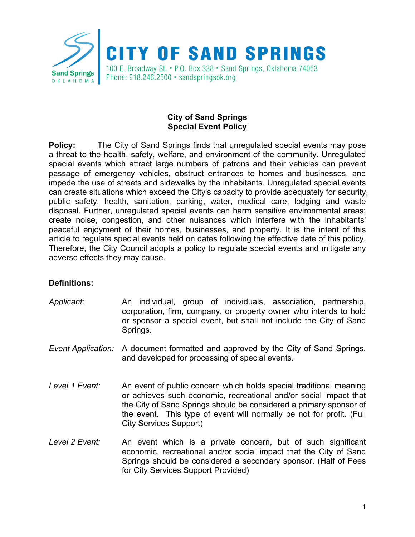

## **City of Sand Springs Special Event Policy**

**Policy:** The City of Sand Springs finds that unregulated special events may pose a threat to the health, safety, welfare, and environment of the community. Unregulated special events which attract large numbers of patrons and their vehicles can prevent passage of emergency vehicles, obstruct entrances to homes and businesses, and impede the use of streets and sidewalks by the inhabitants. Unregulated special events can create situations which exceed the City's capacity to provide adequately for security, public safety, health, sanitation, parking, water, medical care, lodging and waste disposal. Further, unregulated special events can harm sensitive environmental areas; create noise, congestion, and other nuisances which interfere with the inhabitants' peaceful enjoyment of their homes, businesses, and property. It is the intent of this article to regulate special events held on dates following the effective date of this policy. Therefore, the City Council adopts a policy to regulate special events and mitigate any adverse effects they may cause.

## **Definitions:**

- *Applicant:* An individual, group of individuals, association, partnership, corporation, firm, company, or property owner who intends to hold or sponsor a special event, but shall not include the City of Sand Springs.
- *Event Application:* A document formatted and approved by the City of Sand Springs, and developed for processing of special events.
- *Level 1 Event:* An event of public concern which holds special traditional meaning or achieves such economic, recreational and/or social impact that the City of Sand Springs should be considered a primary sponsor of the event. This type of event will normally be not for profit. (Full City Services Support)
- *Level 2 Event:* An event which is a private concern, but of such significant economic, recreational and/or social impact that the City of Sand Springs should be considered a secondary sponsor. (Half of Fees for City Services Support Provided)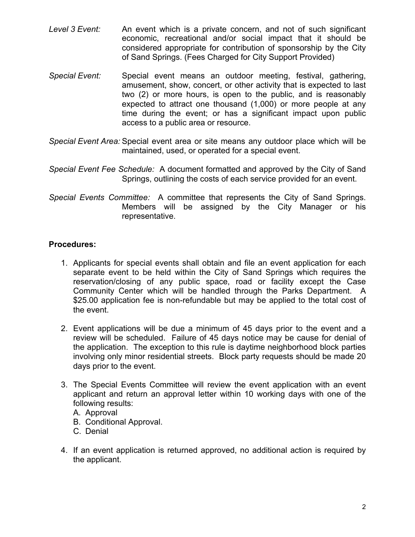- *Level 3 Event:* An event which is a private concern, and not of such significant economic, recreational and/or social impact that it should be considered appropriate for contribution of sponsorship by the City of Sand Springs. (Fees Charged for City Support Provided)
- *Special Event:* Special event means an outdoor meeting, festival, gathering, amusement, show, concert, or other activity that is expected to last two (2) or more hours, is open to the public, and is reasonably expected to attract one thousand (1,000) or more people at any time during the event; or has a significant impact upon public access to a public area or resource.
- *Special Event Area:* Special event area or site means any outdoor place which will be maintained, used, or operated for a special event.
- *Special Event Fee Schedule:* A document formatted and approved by the City of Sand Springs, outlining the costs of each service provided for an event.
- *Special Events Committee:* A committee that represents the City of Sand Springs. Members will be assigned by the City Manager or his representative.

## **Procedures:**

- 1. Applicants for special events shall obtain and file an event application for each separate event to be held within the City of Sand Springs which requires the reservation/closing of any public space, road or facility except the Case Community Center which will be handled through the Parks Department. A \$25.00 application fee is non-refundable but may be applied to the total cost of the event.
- 2. Event applications will be due a minimum of 45 days prior to the event and a review will be scheduled. Failure of 45 days notice may be cause for denial of the application. The exception to this rule is daytime neighborhood block parties involving only minor residential streets. Block party requests should be made 20 days prior to the event.
- 3. The Special Events Committee will review the event application with an event applicant and return an approval letter within 10 working days with one of the following results:
	- A. Approval
	- B. Conditional Approval.
	- C. Denial
- 4. If an event application is returned approved, no additional action is required by the applicant.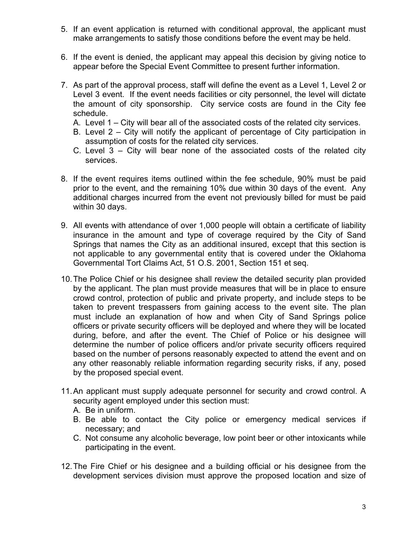- 5. If an event application is returned with conditional approval, the applicant must make arrangements to satisfy those conditions before the event may be held.
- 6. If the event is denied, the applicant may appeal this decision by giving notice to appear before the Special Event Committee to present further information.
- 7. As part of the approval process, staff will define the event as a Level 1, Level 2 or Level 3 event. If the event needs facilities or city personnel, the level will dictate the amount of city sponsorship. City service costs are found in the City fee schedule.
	- A. Level 1 City will bear all of the associated costs of the related city services.
	- B. Level 2 City will notify the applicant of percentage of City participation in assumption of costs for the related city services.
	- C. Level 3 City will bear none of the associated costs of the related city services.
- 8. If the event requires items outlined within the fee schedule, 90% must be paid prior to the event, and the remaining 10% due within 30 days of the event. Any additional charges incurred from the event not previously billed for must be paid within 30 days.
- 9. All events with attendance of over 1,000 people will obtain a certificate of liability insurance in the amount and type of coverage required by the City of Sand Springs that names the City as an additional insured, except that this section is not applicable to any governmental entity that is covered under the Oklahoma Governmental Tort Claims Act, 51 O.S. 2001, Section 151 et seq.
- 10.The Police Chief or his designee shall review the detailed security plan provided by the applicant. The plan must provide measures that will be in place to ensure crowd control, protection of public and private property, and include steps to be taken to prevent trespassers from gaining access to the event site. The plan must include an explanation of how and when City of Sand Springs police officers or private security officers will be deployed and where they will be located during, before, and after the event. The Chief of Police or his designee will determine the number of police officers and/or private security officers required based on the number of persons reasonably expected to attend the event and on any other reasonably reliable information regarding security risks, if any, posed by the proposed special event.
- 11.An applicant must supply adequate personnel for security and crowd control. A security agent employed under this section must:
	- A. Be in uniform.
	- B. Be able to contact the City police or emergency medical services if necessary; and
	- C. Not consume any alcoholic beverage, low point beer or other intoxicants while participating in the event.
- 12.The Fire Chief or his designee and a building official or his designee from the development services division must approve the proposed location and size of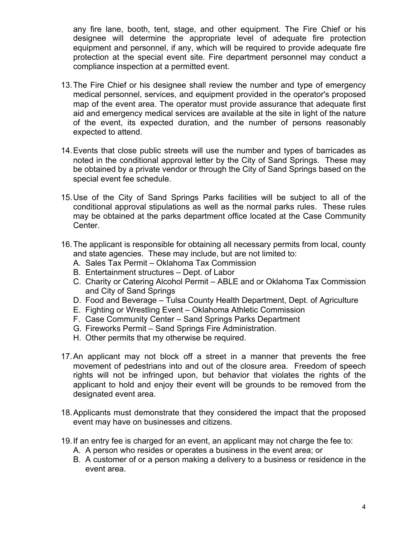any fire lane, booth, tent, stage, and other equipment. The Fire Chief or his designee will determine the appropriate level of adequate fire protection equipment and personnel, if any, which will be required to provide adequate fire protection at the special event site. Fire department personnel may conduct a compliance inspection at a permitted event.

- 13.The Fire Chief or his designee shall review the number and type of emergency medical personnel, services, and equipment provided in the operator's proposed map of the event area. The operator must provide assurance that adequate first aid and emergency medical services are available at the site in light of the nature of the event, its expected duration, and the number of persons reasonably expected to attend.
- 14.Events that close public streets will use the number and types of barricades as noted in the conditional approval letter by the City of Sand Springs. These may be obtained by a private vendor or through the City of Sand Springs based on the special event fee schedule.
- 15.Use of the City of Sand Springs Parks facilities will be subject to all of the conditional approval stipulations as well as the normal parks rules. These rules may be obtained at the parks department office located at the Case Community Center.
- 16.The applicant is responsible for obtaining all necessary permits from local, county and state agencies. These may include, but are not limited to:
	- A. Sales Tax Permit Oklahoma Tax Commission
	- B. Entertainment structures Dept. of Labor
	- C. Charity or Catering Alcohol Permit ABLE and or Oklahoma Tax Commission and City of Sand Springs
	- D. Food and Beverage Tulsa County Health Department, Dept. of Agriculture
	- E. Fighting or Wrestling Event Oklahoma Athletic Commission
	- F. Case Community Center Sand Springs Parks Department
	- G. Fireworks Permit Sand Springs Fire Administration.
	- H. Other permits that my otherwise be required.
- 17.An applicant may not block off a street in a manner that prevents the free movement of pedestrians into and out of the closure area. Freedom of speech rights will not be infringed upon, but behavior that violates the rights of the applicant to hold and enjoy their event will be grounds to be removed from the designated event area.
- 18.Applicants must demonstrate that they considered the impact that the proposed event may have on businesses and citizens.
- 19.If an entry fee is charged for an event, an applicant may not charge the fee to:
	- A. A person who resides or operates a business in the event area; or
	- B. A customer of or a person making a delivery to a business or residence in the event area.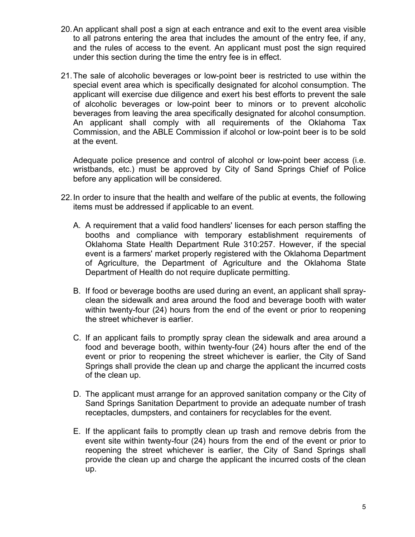- 20.An applicant shall post a sign at each entrance and exit to the event area visible to all patrons entering the area that includes the amount of the entry fee, if any, and the rules of access to the event. An applicant must post the sign required under this section during the time the entry fee is in effect.
- 21.The sale of alcoholic beverages or low-point beer is restricted to use within the special event area which is specifically designated for alcohol consumption. The applicant will exercise due diligence and exert his best efforts to prevent the sale of alcoholic beverages or low-point beer to minors or to prevent alcoholic beverages from leaving the area specifically designated for alcohol consumption. An applicant shall comply with all requirements of the Oklahoma Tax Commission, and the ABLE Commission if alcohol or low-point beer is to be sold at the event.

Adequate police presence and control of alcohol or low-point beer access (i.e. wristbands, etc.) must be approved by City of Sand Springs Chief of Police before any application will be considered.

- 22.In order to insure that the health and welfare of the public at events, the following items must be addressed if applicable to an event.
	- A. A requirement that a valid food handlers' licenses for each person staffing the booths and compliance with temporary establishment requirements of Oklahoma State Health Department Rule 310:257. However, if the special event is a farmers' market properly registered with the Oklahoma Department of Agriculture, the Department of Agriculture and the Oklahoma State Department of Health do not require duplicate permitting.
	- B. If food or beverage booths are used during an event, an applicant shall sprayclean the sidewalk and area around the food and beverage booth with water within twenty-four (24) hours from the end of the event or prior to reopening the street whichever is earlier.
	- C. If an applicant fails to promptly spray clean the sidewalk and area around a food and beverage booth, within twenty-four (24) hours after the end of the event or prior to reopening the street whichever is earlier, the City of Sand Springs shall provide the clean up and charge the applicant the incurred costs of the clean up.
	- D. The applicant must arrange for an approved sanitation company or the City of Sand Springs Sanitation Department to provide an adequate number of trash receptacles, dumpsters, and containers for recyclables for the event.
	- E. If the applicant fails to promptly clean up trash and remove debris from the event site within twenty-four (24) hours from the end of the event or prior to reopening the street whichever is earlier, the City of Sand Springs shall provide the clean up and charge the applicant the incurred costs of the clean up.